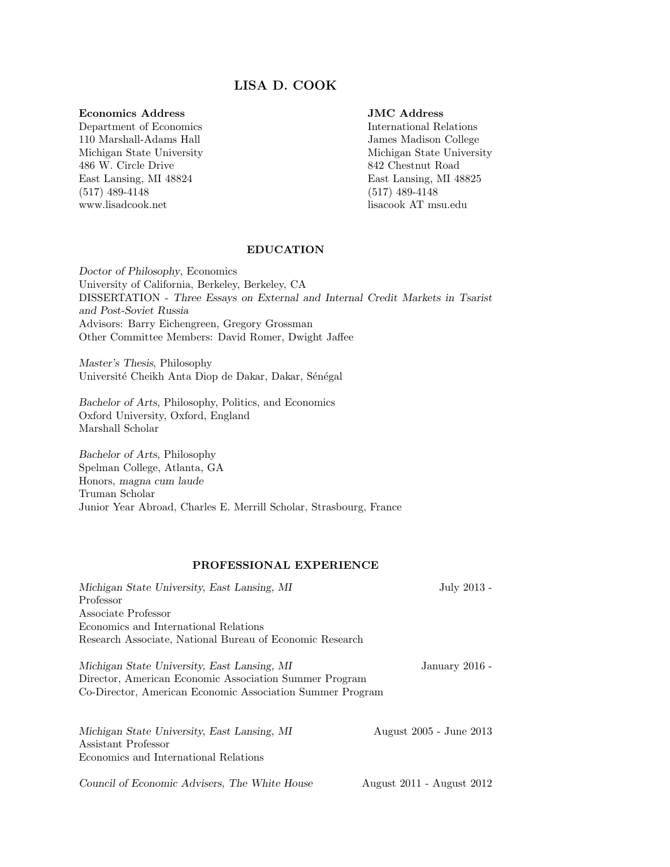# LISA D. COOK

#### Economics Address

Department of Economics 110 Marshall-Adams Hall Michigan State University 486 W. Circle Drive East Lansing, MI 48824 (517) 489-4148 www.lisadcook.net

## JMC Address

International Relations James Madison College Michigan State University 842 Chestnut Road East Lansing, MI 48825 (517) 489-4148 lisacook AT msu.edu

#### EDUCATION

Doctor of Philosophy, Economics University of California, Berkeley, Berkeley, CA DISSERTATION - Three Essays on External and Internal Credit Markets in Tsarist and Post-Soviet Russia Advisors: Barry Eichengreen, Gregory Grossman Other Committee Members: David Romer, Dwight Jaffee

Master's Thesis, Philosophy Université Cheikh Anta Diop de Dakar, Dakar, Sénégal

Bachelor of Arts, Philosophy, Politics, and Economics Oxford University, Oxford, England Marshall Scholar

Bachelor of Arts, Philosophy Spelman College, Atlanta, GA Honors, magna cum laude Truman Scholar Junior Year Abroad, Charles E. Merrill Scholar, Strasbourg, France

## PROFESSIONAL EXPERIENCE

| Michigan State University, East Lansing, MI                                                                                                                        | July 2013 -             |
|--------------------------------------------------------------------------------------------------------------------------------------------------------------------|-------------------------|
| Professor                                                                                                                                                          |                         |
| Associate Professor                                                                                                                                                |                         |
| Economics and International Relations                                                                                                                              |                         |
| Research Associate, National Bureau of Economic Research                                                                                                           |                         |
| Michigan State University, East Lansing, MI<br>Director, American Economic Association Summer Program<br>Co-Director, American Economic Association Summer Program | January 2016 -          |
| Michigan State University, East Lansing, MI<br>Assistant Professor<br>Economics and International Relations                                                        | August 2005 - June 2013 |

Council of Economic Advisers, The White House August 2011 - August 2012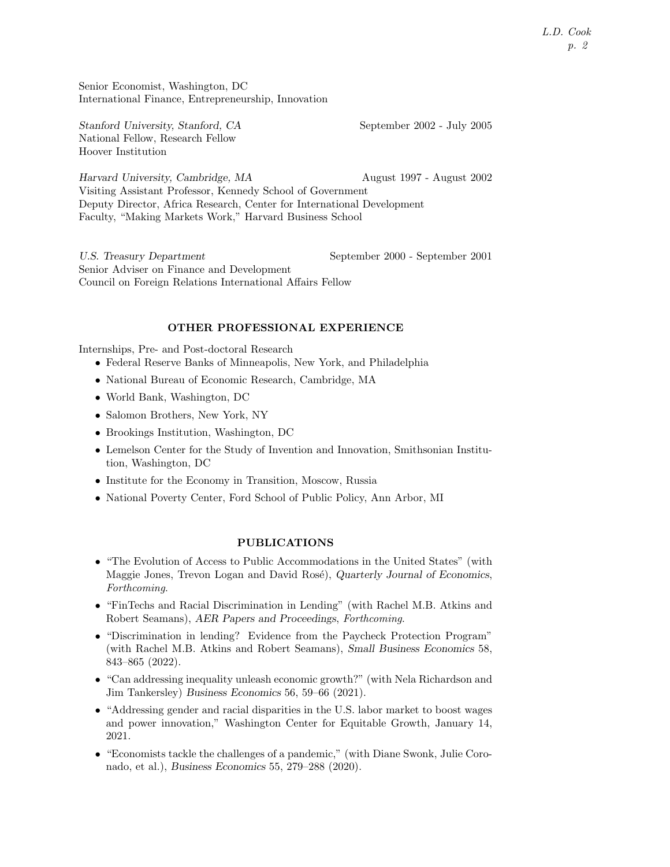L.D. Cook p. 2

Senior Economist, Washington, DC International Finance, Entrepreneurship, Innovation

Stanford University, Stanford, CA September 2002 - July 2005 National Fellow, Research Fellow Hoover Institution

Harvard University, Cambridge, MA August 1997 - August 2002 Visiting Assistant Professor, Kennedy School of Government Deputy Director, Africa Research, Center for International Development Faculty, "Making Markets Work," Harvard Business School

U.S. Treasury Department September 2000 - September 2001 Senior Adviser on Finance and Development Council on Foreign Relations International Affairs Fellow

#### OTHER PROFESSIONAL EXPERIENCE

Internships, Pre- and Post-doctoral Research

- Federal Reserve Banks of Minneapolis, New York, and Philadelphia
- National Bureau of Economic Research, Cambridge, MA
- World Bank, Washington, DC
- Salomon Brothers, New York, NY
- Brookings Institution, Washington, DC
- Lemelson Center for the Study of Invention and Innovation, Smithsonian Institution, Washington, DC
- Institute for the Economy in Transition, Moscow, Russia
- National Poverty Center, Ford School of Public Policy, Ann Arbor, MI

#### PUBLICATIONS

- "The Evolution of Access to Public Accommodations in the United States" (with Maggie Jones, Trevon Logan and David Rosé), Quarterly Journal of Economics, Forthcoming.
- "FinTechs and Racial Discrimination in Lending" (with Rachel M.B. Atkins and Robert Seamans), AER Papers and Proceedings, Forthcoming.
- "Discrimination in lending? Evidence from the Paycheck Protection Program" (with Rachel M.B. Atkins and Robert Seamans), Small Business Economics 58, 843–865 (2022).
- "Can addressing inequality unleash economic growth?" (with Nela Richardson and Jim Tankersley) Business Economics 56, 59–66 (2021).
- "Addressing gender and racial disparities in the U.S. labor market to boost wages and power innovation," Washington Center for Equitable Growth, January 14, 2021.
- "Economists tackle the challenges of a pandemic," (with Diane Swonk, Julie Coronado, et al.), Business Economics 55, 279–288 (2020).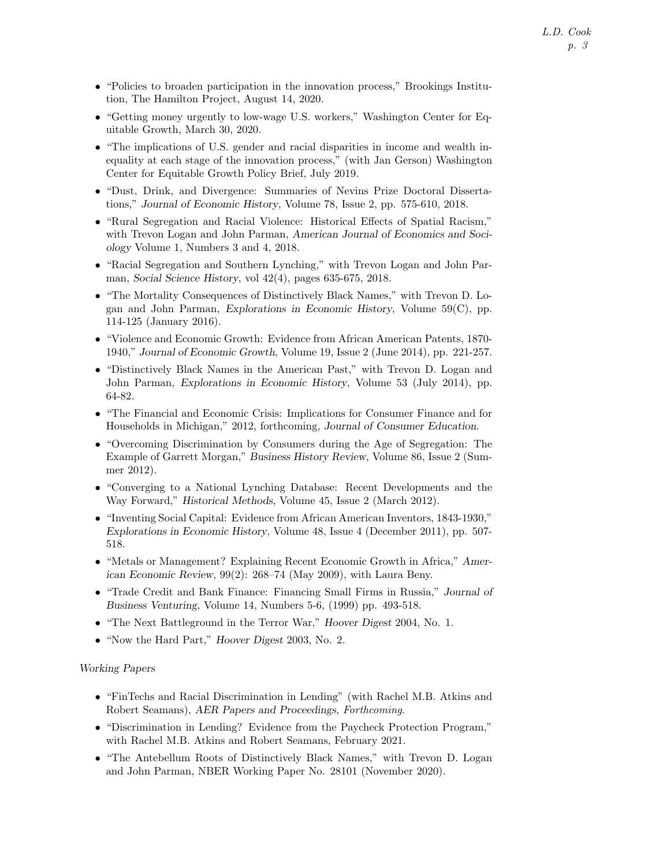- "Policies to broaden participation in the innovation process," Brookings Institution, The Hamilton Project, August 14, 2020.
- "Getting money urgently to low-wage U.S. workers," Washington Center for Equitable Growth, March 30, 2020.
- "The implications of U.S. gender and racial disparities in income and wealth inequality at each stage of the innovation process," (with Jan Gerson) Washington Center for Equitable Growth Policy Brief, July 2019.
- "Dust, Drink, and Divergence: Summaries of Nevins Prize Doctoral Dissertations," Journal of Economic History, Volume 78, Issue 2, pp. 575-610, 2018.
- "Rural Segregation and Racial Violence: Historical Effects of Spatial Racism," with Trevon Logan and John Parman, American Journal of Economics and Sociology Volume 1, Numbers 3 and 4, 2018.
- "Racial Segregation and Southern Lynching," with Trevon Logan and John Parman, Social Science History, vol 42(4), pages 635-675, 2018.
- "The Mortality Consequences of Distinctively Black Names," with Trevon D. Logan and John Parman, Explorations in Economic History, Volume 59(C), pp. 114-125 (January 2016).
- "Violence and Economic Growth: Evidence from African American Patents, 1870- 1940," Journal of Economic Growth, Volume 19, Issue 2 (June 2014), pp. 221-257.
- "Distinctively Black Names in the American Past," with Trevon D. Logan and John Parman, Explorations in Economic History, Volume 53 (July 2014), pp. 64-82.
- "The Financial and Economic Crisis: Implications for Consumer Finance and for Households in Michigan," 2012, forthcoming, Journal of Consumer Education.
- "Overcoming Discrimination by Consumers during the Age of Segregation: The Example of Garrett Morgan," Business History Review, Volume 86, Issue 2 (Summer 2012).
- "Converging to a National Lynching Database: Recent Developments and the Way Forward," Historical Methods, Volume 45, Issue 2 (March 2012).
- "Inventing Social Capital: Evidence from African American Inventors, 1843-1930," Explorations in Economic History, Volume 48, Issue 4 (December 2011), pp. 507- 518.
- "Metals or Management? Explaining Recent Economic Growth in Africa," American Economic Review, 99(2): 268–74 (May 2009), with Laura Beny.
- "Trade Credit and Bank Finance: Financing Small Firms in Russia," Journal of Business Venturing, Volume 14, Numbers 5-6, (1999) pp. 493-518.
- "The Next Battleground in the Terror War," Hoover Digest 2004, No. 1.
- "Now the Hard Part," *Hoover Digest* 2003, No. 2.

## Working Papers

- "FinTechs and Racial Discrimination in Lending" (with Rachel M.B. Atkins and Robert Seamans), AER Papers and Proceedings, Forthcoming.
- "Discrimination in Lending? Evidence from the Paycheck Protection Program," with Rachel M.B. Atkins and Robert Seamans, February 2021.
- "The Antebellum Roots of Distinctively Black Names," with Trevon D. Logan and John Parman, NBER Working Paper No. 28101 (November 2020).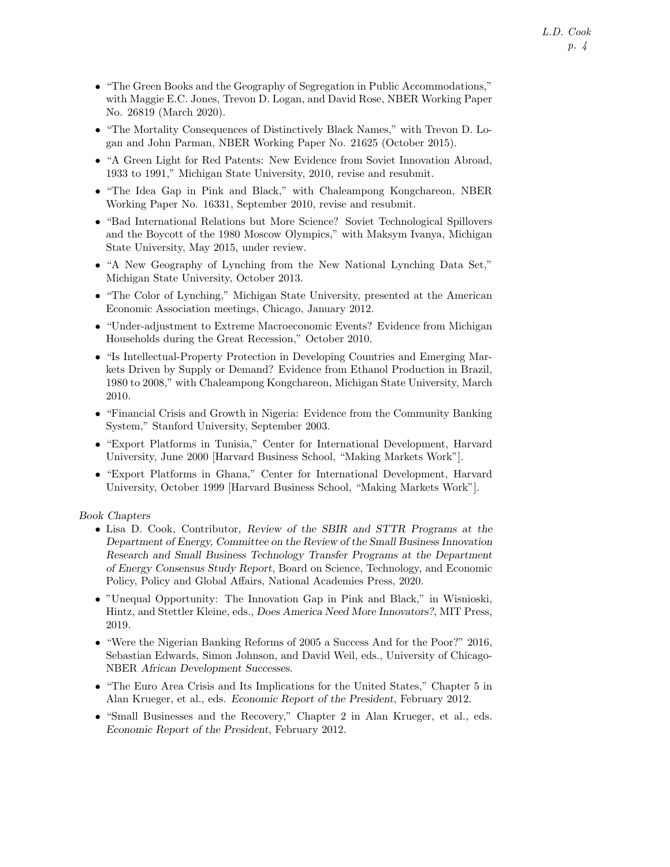- "The Green Books and the Geography of Segregation in Public Accommodations," with Maggie E.C. Jones, Trevon D. Logan, and David Rose, NBER Working Paper No. 26819 (March 2020).
- "The Mortality Consequences of Distinctively Black Names," with Trevon D. Logan and John Parman, NBER Working Paper No. 21625 (October 2015).
- "A Green Light for Red Patents: New Evidence from Soviet Innovation Abroad, 1933 to 1991," Michigan State University, 2010, revise and resubmit.
- "The Idea Gap in Pink and Black," with Chaleampong Kongchareon, NBER Working Paper No. 16331, September 2010, revise and resubmit.
- "Bad International Relations but More Science? Soviet Technological Spillovers and the Boycott of the 1980 Moscow Olympics," with Maksym Ivanya, Michigan State University, May 2015, under review.
- "A New Geography of Lynching from the New National Lynching Data Set," Michigan State University, October 2013.
- "The Color of Lynching," Michigan State University, presented at the American Economic Association meetings, Chicago, January 2012.
- "Under-adjustment to Extreme Macroeconomic Events? Evidence from Michigan Households during the Great Recession," October 2010.
- "Is Intellectual-Property Protection in Developing Countries and Emerging Markets Driven by Supply or Demand? Evidence from Ethanol Production in Brazil, 1980 to 2008," with Chaleampong Kongchareon, Michigan State University, March 2010.
- "Financial Crisis and Growth in Nigeria: Evidence from the Community Banking System," Stanford University, September 2003.
- "Export Platforms in Tunisia," Center for International Development, Harvard University, June 2000 [Harvard Business School, "Making Markets Work"].
- "Export Platforms in Ghana," Center for International Development, Harvard University, October 1999 [Harvard Business School, "Making Markets Work"].

Book Chapters

- Lisa D. Cook, Contributor, Review of the SBIR and STTR Programs at the Department of Energy, Committee on the Review of the Small Business Innovation Research and Small Business Technology Transfer Programs at the Department of Energy Consensus Study Report, Board on Science, Technology, and Economic Policy, Policy and Global Affairs, National Academies Press, 2020.
- "Unequal Opportunity: The Innovation Gap in Pink and Black," in Wisnioski, Hintz, and Stettler Kleine, eds., Does America Need More Innovators?, MIT Press, 2019.
- "Were the Nigerian Banking Reforms of 2005 a Success And for the Poor?" 2016, Sebastian Edwards, Simon Johnson, and David Weil, eds., University of Chicago-NBER African Development Successes.
- "The Euro Area Crisis and Its Implications for the United States," Chapter 5 in Alan Krueger, et al., eds. Economic Report of the President, February 2012.
- "Small Businesses and the Recovery," Chapter 2 in Alan Krueger, et al., eds. Economic Report of the President, February 2012.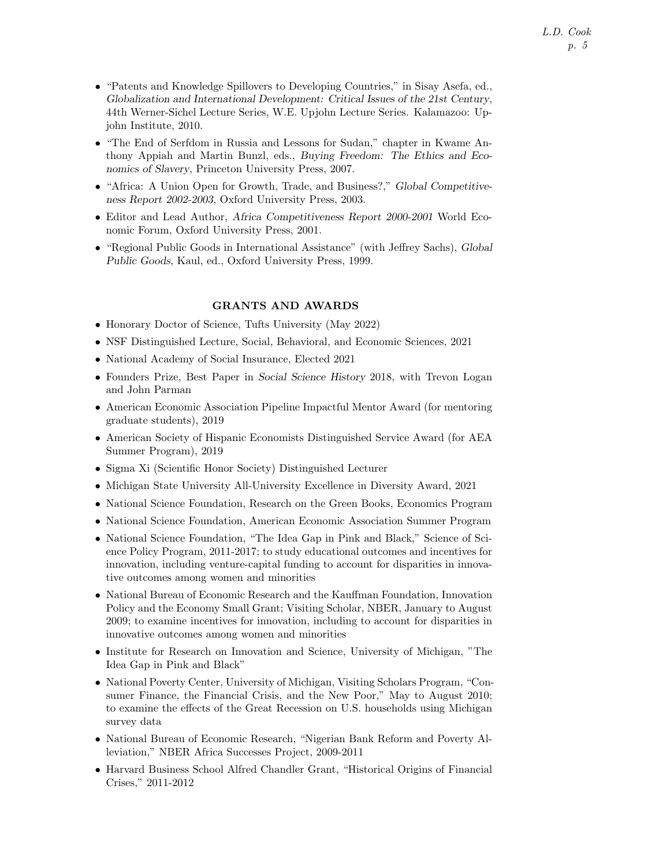- "Patents and Knowledge Spillovers to Developing Countries," in Sisay Asefa, ed., Globalization and International Development: Critical Issues of the 21st Century, 44th Werner-Sichel Lecture Series, W.E. Upjohn Lecture Series. Kalamazoo: Upjohn Institute, 2010.
- "The End of Serfdom in Russia and Lessons for Sudan," chapter in Kwame Anthony Appiah and Martin Bunzl, eds., Buying Freedom: The Ethics and Economics of Slavery, Princeton University Press, 2007.
- "Africa: A Union Open for Growth, Trade, and Business?," Global Competitiveness Report 2002-2003, Oxford University Press, 2003.
- Editor and Lead Author, Africa Competitiveness Report 2000-2001 World Economic Forum, Oxford University Press, 2001.
- "Regional Public Goods in International Assistance" (with Jeffrey Sachs), Global Public Goods, Kaul, ed., Oxford University Press, 1999.

## GRANTS AND AWARDS

- Honorary Doctor of Science, Tufts University (May 2022)
- NSF Distinguished Lecture, Social, Behavioral, and Economic Sciences, 2021
- National Academy of Social Insurance, Elected 2021
- Founders Prize, Best Paper in Social Science History 2018, with Trevon Logan and John Parman
- American Economic Association Pipeline Impactful Mentor Award (for mentoring graduate students), 2019
- American Society of Hispanic Economists Distinguished Service Award (for AEA Summer Program), 2019
- Sigma Xi (Scientific Honor Society) Distinguished Lecturer
- Michigan State University All-University Excellence in Diversity Award, 2021
- National Science Foundation, Research on the Green Books, Economics Program
- National Science Foundation, American Economic Association Summer Program
- National Science Foundation, "The Idea Gap in Pink and Black," Science of Science Policy Program, 2011-2017; to study educational outcomes and incentives for innovation, including venture-capital funding to account for disparities in innovative outcomes among women and minorities
- National Bureau of Economic Research and the Kauffman Foundation, Innovation Policy and the Economy Small Grant; Visiting Scholar, NBER, January to August 2009; to examine incentives for innovation, including to account for disparities in innovative outcomes among women and minorities
- Institute for Research on Innovation and Science, University of Michigan, "The Idea Gap in Pink and Black"
- National Poverty Center, University of Michigan, Visiting Scholars Program, "Consumer Finance, the Financial Crisis, and the New Poor," May to August 2010; to examine the effects of the Great Recession on U.S. households using Michigan survey data
- National Bureau of Economic Research, "Nigerian Bank Reform and Poverty Alleviation," NBER Africa Successes Project, 2009-2011
- Harvard Business School Alfred Chandler Grant, "Historical Origins of Financial Crises," 2011-2012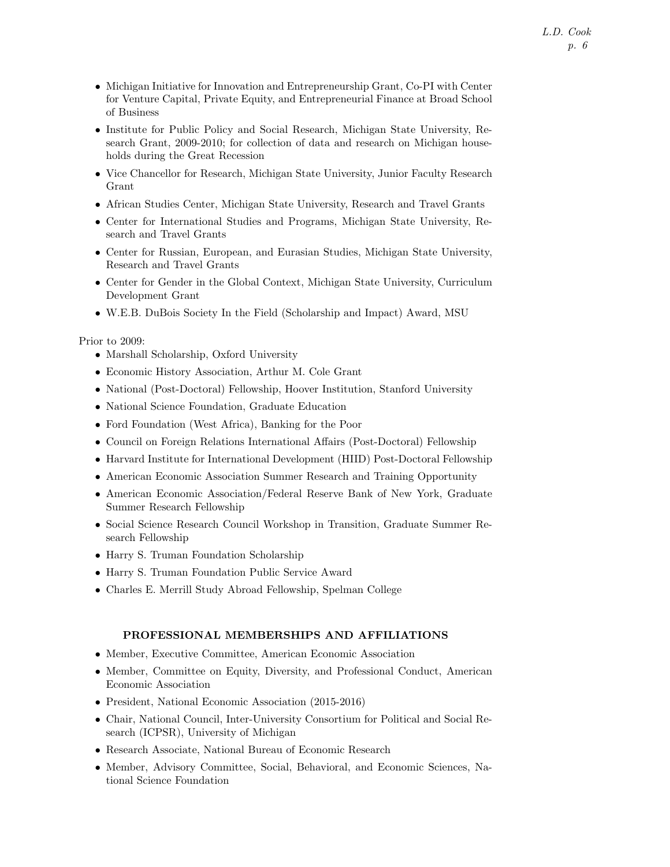- Michigan Initiative for Innovation and Entrepreneurship Grant, Co-PI with Center for Venture Capital, Private Equity, and Entrepreneurial Finance at Broad School of Business
- Institute for Public Policy and Social Research, Michigan State University, Research Grant, 2009-2010; for collection of data and research on Michigan households during the Great Recession
- Vice Chancellor for Research, Michigan State University, Junior Faculty Research Grant
- African Studies Center, Michigan State University, Research and Travel Grants
- Center for International Studies and Programs, Michigan State University, Research and Travel Grants
- Center for Russian, European, and Eurasian Studies, Michigan State University, Research and Travel Grants
- Center for Gender in the Global Context, Michigan State University, Curriculum Development Grant
- W.E.B. DuBois Society In the Field (Scholarship and Impact) Award, MSU

## Prior to 2009:

- Marshall Scholarship, Oxford University
- Economic History Association, Arthur M. Cole Grant
- National (Post-Doctoral) Fellowship, Hoover Institution, Stanford University
- National Science Foundation, Graduate Education
- Ford Foundation (West Africa), Banking for the Poor
- Council on Foreign Relations International Affairs (Post-Doctoral) Fellowship
- Harvard Institute for International Development (HIID) Post-Doctoral Fellowship
- American Economic Association Summer Research and Training Opportunity
- American Economic Association/Federal Reserve Bank of New York, Graduate Summer Research Fellowship
- Social Science Research Council Workshop in Transition, Graduate Summer Research Fellowship
- Harry S. Truman Foundation Scholarship
- Harry S. Truman Foundation Public Service Award
- Charles E. Merrill Study Abroad Fellowship, Spelman College

## PROFESSIONAL MEMBERSHIPS AND AFFILIATIONS

- Member, Executive Committee, American Economic Association
- Member, Committee on Equity, Diversity, and Professional Conduct, American Economic Association
- President, National Economic Association (2015-2016)
- Chair, National Council, Inter-University Consortium for Political and Social Research (ICPSR), University of Michigan
- Research Associate, National Bureau of Economic Research
- Member, Advisory Committee, Social, Behavioral, and Economic Sciences, National Science Foundation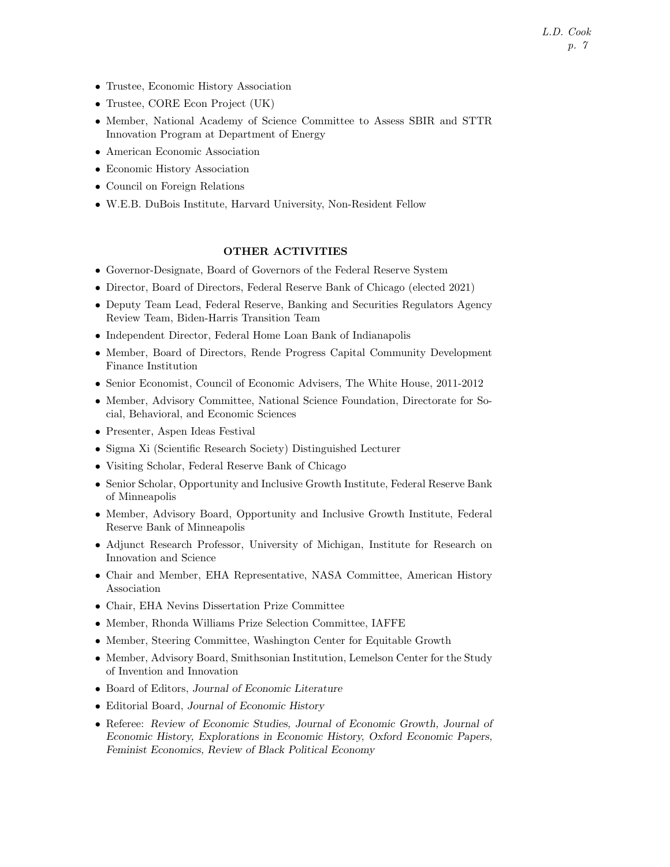- Trustee, Economic History Association
- Trustee, CORE Econ Project (UK)
- Member, National Academy of Science Committee to Assess SBIR and STTR Innovation Program at Department of Energy
- American Economic Association
- Economic History Association
- Council on Foreign Relations
- W.E.B. DuBois Institute, Harvard University, Non-Resident Fellow

# OTHER ACTIVITIES

- Governor-Designate, Board of Governors of the Federal Reserve System
- Director, Board of Directors, Federal Reserve Bank of Chicago (elected 2021)
- Deputy Team Lead, Federal Reserve, Banking and Securities Regulators Agency Review Team, Biden-Harris Transition Team
- Independent Director, Federal Home Loan Bank of Indianapolis
- Member, Board of Directors, Rende Progress Capital Community Development Finance Institution
- Senior Economist, Council of Economic Advisers, The White House, 2011-2012
- Member, Advisory Committee, National Science Foundation, Directorate for Social, Behavioral, and Economic Sciences
- Presenter, Aspen Ideas Festival
- Sigma Xi (Scientific Research Society) Distinguished Lecturer
- Visiting Scholar, Federal Reserve Bank of Chicago
- Senior Scholar, Opportunity and Inclusive Growth Institute, Federal Reserve Bank of Minneapolis
- Member, Advisory Board, Opportunity and Inclusive Growth Institute, Federal Reserve Bank of Minneapolis
- Adjunct Research Professor, University of Michigan, Institute for Research on Innovation and Science
- Chair and Member, EHA Representative, NASA Committee, American History Association
- Chair, EHA Nevins Dissertation Prize Committee
- Member, Rhonda Williams Prize Selection Committee, IAFFE
- Member, Steering Committee, Washington Center for Equitable Growth
- Member, Advisory Board, Smithsonian Institution, Lemelson Center for the Study of Invention and Innovation
- Board of Editors, Journal of Economic Literature
- Editorial Board, Journal of Economic History
- Referee: Review of Economic Studies, Journal of Economic Growth, Journal of Economic History, Explorations in Economic History, Oxford Economic Papers, Feminist Economics, Review of Black Political Economy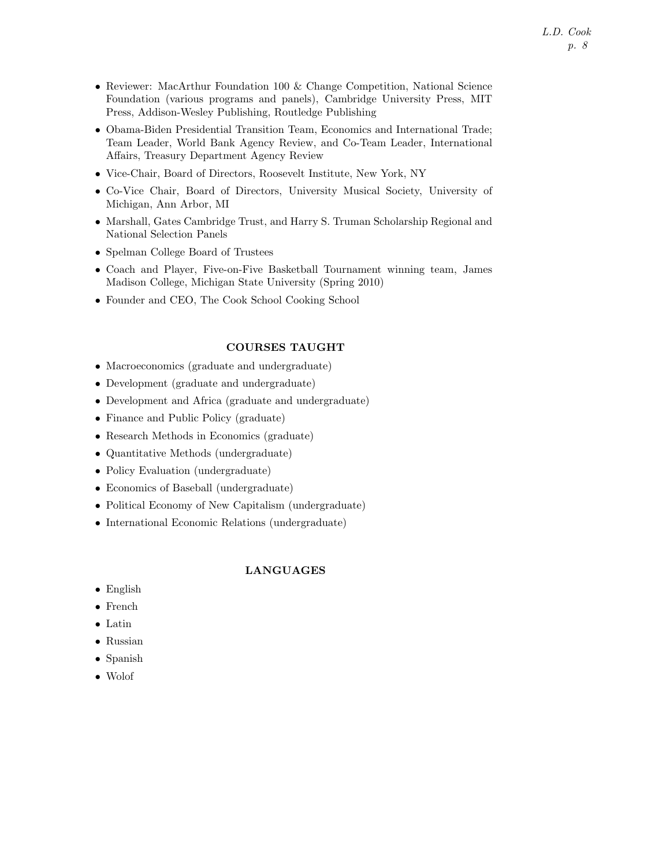- Reviewer: MacArthur Foundation 100 & Change Competition, National Science Foundation (various programs and panels), Cambridge University Press, MIT Press, Addison-Wesley Publishing, Routledge Publishing
- Obama-Biden Presidential Transition Team, Economics and International Trade; Team Leader, World Bank Agency Review, and Co-Team Leader, International Affairs, Treasury Department Agency Review
- Vice-Chair, Board of Directors, Roosevelt Institute, New York, NY
- Co-Vice Chair, Board of Directors, University Musical Society, University of Michigan, Ann Arbor, MI
- Marshall, Gates Cambridge Trust, and Harry S. Truman Scholarship Regional and National Selection Panels
- Spelman College Board of Trustees
- Coach and Player, Five-on-Five Basketball Tournament winning team, James Madison College, Michigan State University (Spring 2010)
- Founder and CEO, The Cook School Cooking School

# COURSES TAUGHT

- Macroeconomics (graduate and undergraduate)
- Development (graduate and undergraduate)
- Development and Africa (graduate and undergraduate)
- Finance and Public Policy (graduate)
- Research Methods in Economics (graduate)
- Quantitative Methods (undergraduate)
- Policy Evaluation (undergraduate)
- Economics of Baseball (undergraduate)
- Political Economy of New Capitalism (undergraduate)
- International Economic Relations (undergraduate)

## LANGUAGES

- English
- French
- Latin
- Russian
- Spanish
- Wolof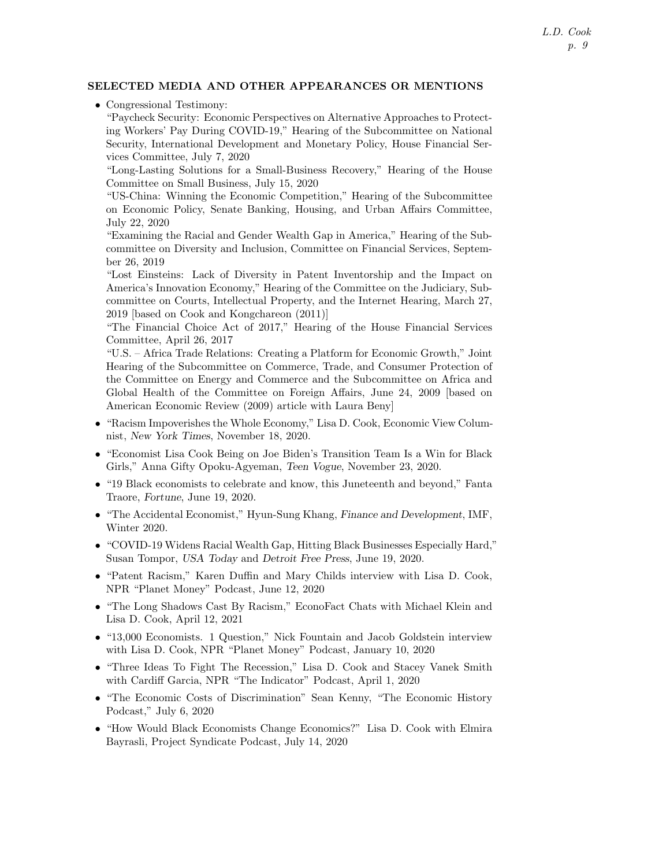## SELECTED MEDIA AND OTHER APPEARANCES OR MENTIONS

• Congressional Testimony:

"Paycheck Security: Economic Perspectives on Alternative Approaches to Protecting Workers' Pay During COVID-19," Hearing of the Subcommittee on National Security, International Development and Monetary Policy, House Financial Services Committee, July 7, 2020

"Long-Lasting Solutions for a Small-Business Recovery," Hearing of the House Committee on Small Business, July 15, 2020

"US-China: Winning the Economic Competition," Hearing of the Subcommittee on Economic Policy, Senate Banking, Housing, and Urban Affairs Committee, July 22, 2020

"Examining the Racial and Gender Wealth Gap in America," Hearing of the Subcommittee on Diversity and Inclusion, Committee on Financial Services, September 26, 2019

"Lost Einsteins: Lack of Diversity in Patent Inventorship and the Impact on America's Innovation Economy," Hearing of the Committee on the Judiciary, Subcommittee on Courts, Intellectual Property, and the Internet Hearing, March 27, 2019 [based on Cook and Kongchareon (2011)]

"The Financial Choice Act of 2017," Hearing of the House Financial Services Committee, April 26, 2017

"U.S. – Africa Trade Relations: Creating a Platform for Economic Growth," Joint Hearing of the Subcommittee on Commerce, Trade, and Consumer Protection of the Committee on Energy and Commerce and the Subcommittee on Africa and Global Health of the Committee on Foreign Affairs, June 24, 2009 [based on American Economic Review (2009) article with Laura Beny]

- "Racism Impoverishes the Whole Economy," Lisa D. Cook, Economic View Columnist, New York Times, November 18, 2020.
- "Economist Lisa Cook Being on Joe Biden's Transition Team Is a Win for Black Girls," Anna Gifty Opoku-Agyeman, Teen Vogue, November 23, 2020.
- "19 Black economists to celebrate and know, this Juneteenth and beyond," Fanta Traore, Fortune, June 19, 2020.
- "The Accidental Economist," Hyun-Sung Khang, Finance and Development, IMF, Winter 2020.
- "COVID-19 Widens Racial Wealth Gap, Hitting Black Businesses Especially Hard," Susan Tompor, USA Today and Detroit Free Press, June 19, 2020.
- "Patent Racism," Karen Duffin and Mary Childs interview with Lisa D. Cook, NPR "Planet Money" Podcast, June 12, 2020
- "The Long Shadows Cast By Racism," EconoFact Chats with Michael Klein and Lisa D. Cook, April 12, 2021
- "13,000 Economists. 1 Question," Nick Fountain and Jacob Goldstein interview with Lisa D. Cook, NPR "Planet Money" Podcast, January 10, 2020
- "Three Ideas To Fight The Recession," Lisa D. Cook and Stacey Vanek Smith with Cardiff Garcia, NPR "The Indicator" Podcast, April 1, 2020
- "The Economic Costs of Discrimination" Sean Kenny, "The Economic History Podcast," July 6, 2020
- "How Would Black Economists Change Economics?" Lisa D. Cook with Elmira Bayrasli, Project Syndicate Podcast, July 14, 2020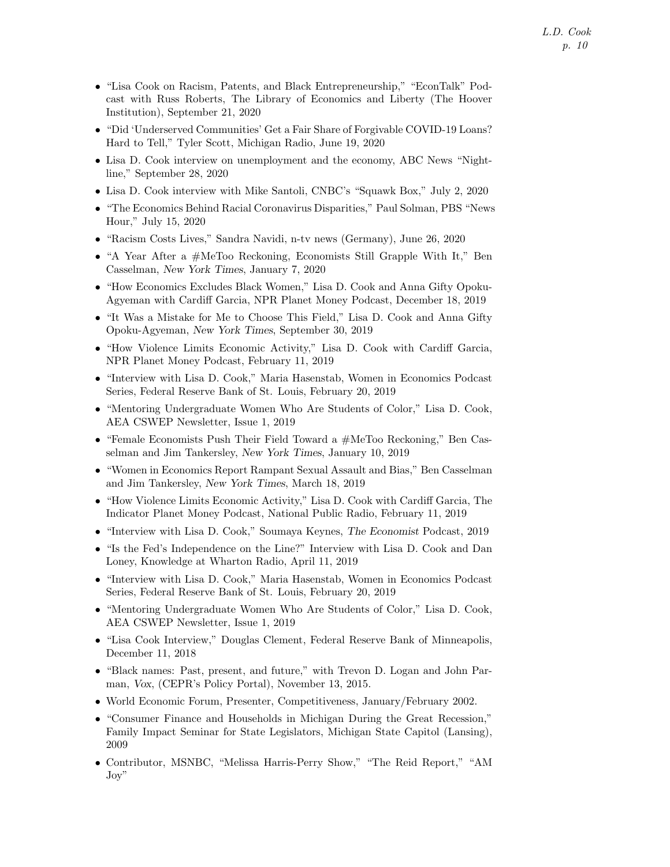- "Lisa Cook on Racism, Patents, and Black Entrepreneurship," "EconTalk" Podcast with Russ Roberts, The Library of Economics and Liberty (The Hoover Institution), September 21, 2020
- "Did 'Underserved Communities' Get a Fair Share of Forgivable COVID-19 Loans? Hard to Tell," Tyler Scott, Michigan Radio, June 19, 2020
- Lisa D. Cook interview on unemployment and the economy, ABC News "Nightline," September 28, 2020
- Lisa D. Cook interview with Mike Santoli, CNBC's "Squawk Box," July 2, 2020
- "The Economics Behind Racial Coronavirus Disparities," Paul Solman, PBS "News Hour," July 15, 2020
- "Racism Costs Lives," Sandra Navidi, n-tv news (Germany), June 26, 2020
- "A Year After a  $\#$ MeToo Reckoning, Economists Still Grapple With It," Ben Casselman, New York Times, January 7, 2020
- "How Economics Excludes Black Women," Lisa D. Cook and Anna Gifty Opoku-Agyeman with Cardiff Garcia, NPR Planet Money Podcast, December 18, 2019
- "It Was a Mistake for Me to Choose This Field," Lisa D. Cook and Anna Gifty Opoku-Agyeman, New York Times, September 30, 2019
- "How Violence Limits Economic Activity," Lisa D. Cook with Cardiff Garcia, NPR Planet Money Podcast, February 11, 2019
- "Interview with Lisa D. Cook," Maria Hasenstab, Women in Economics Podcast Series, Federal Reserve Bank of St. Louis, February 20, 2019
- "Mentoring Undergraduate Women Who Are Students of Color," Lisa D. Cook, AEA CSWEP Newsletter, Issue 1, 2019
- "Female Economists Push Their Field Toward a #MeToo Reckoning," Ben Casselman and Jim Tankersley, New York Times, January 10, 2019
- "Women in Economics Report Rampant Sexual Assault and Bias," Ben Casselman and Jim Tankersley, New York Times, March 18, 2019
- "How Violence Limits Economic Activity," Lisa D. Cook with Cardiff Garcia, The Indicator Planet Money Podcast, National Public Radio, February 11, 2019
- "Interview with Lisa D. Cook," Soumaya Keynes, The Economist Podcast, 2019
- "Is the Fed's Independence on the Line?" Interview with Lisa D. Cook and Dan Loney, Knowledge at Wharton Radio, April 11, 2019
- "Interview with Lisa D. Cook," Maria Hasenstab, Women in Economics Podcast Series, Federal Reserve Bank of St. Louis, February 20, 2019
- "Mentoring Undergraduate Women Who Are Students of Color," Lisa D. Cook, AEA CSWEP Newsletter, Issue 1, 2019
- "Lisa Cook Interview," Douglas Clement, Federal Reserve Bank of Minneapolis, December 11, 2018
- "Black names: Past, present, and future," with Trevon D. Logan and John Parman, Vox, (CEPR's Policy Portal), November 13, 2015.
- World Economic Forum, Presenter, Competitiveness, January/February 2002.
- "Consumer Finance and Households in Michigan During the Great Recession," Family Impact Seminar for State Legislators, Michigan State Capitol (Lansing), 2009
- Contributor, MSNBC, "Melissa Harris-Perry Show," "The Reid Report," "AM Joy"